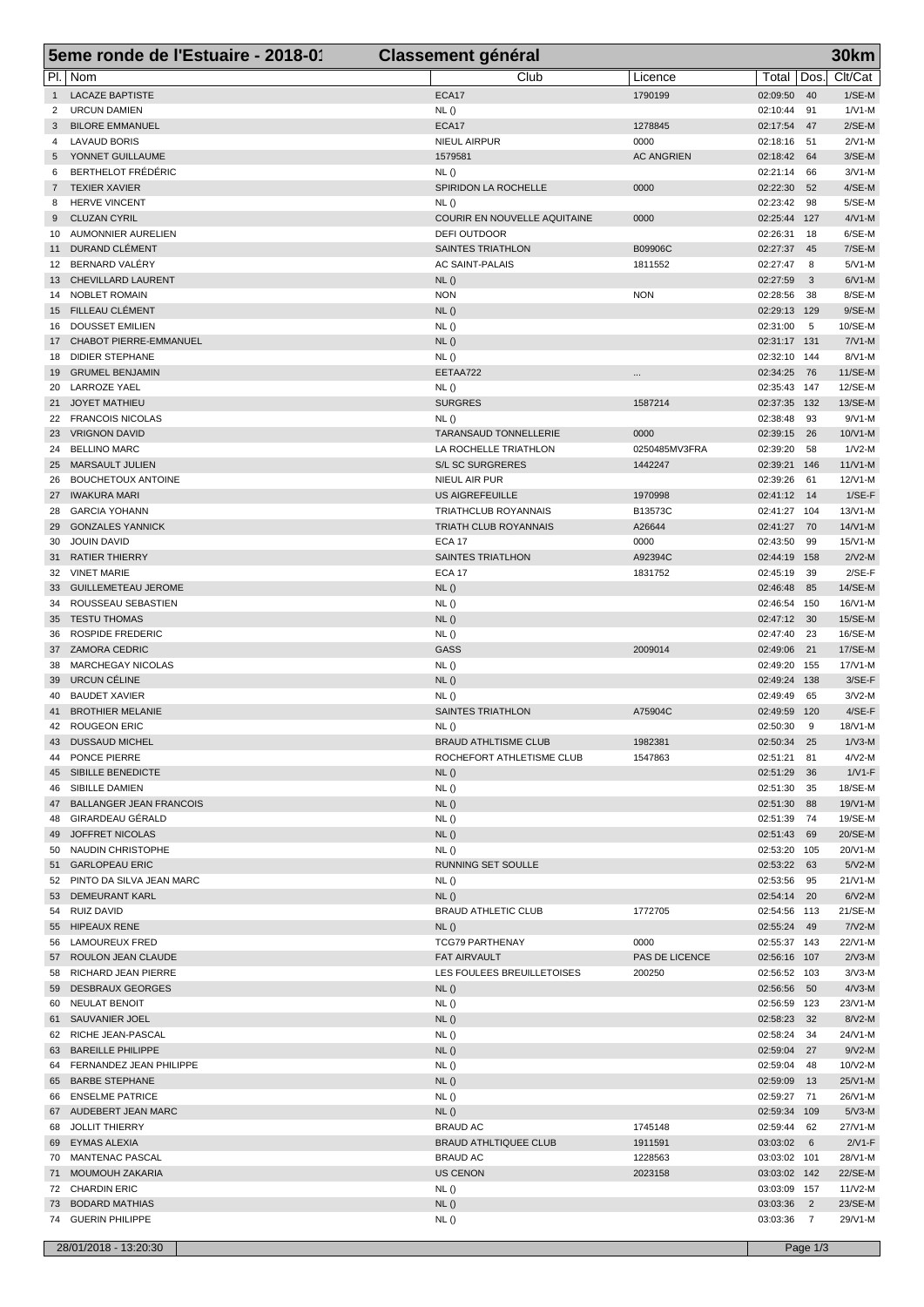|                | 5eme ronde de l'Estuaire - 2018-01           | <b>Classement général</b>                            |                           |                             |                 | <b>30km</b>             |
|----------------|----------------------------------------------|------------------------------------------------------|---------------------------|-----------------------------|-----------------|-------------------------|
|                | PI.   Nom                                    | Club                                                 | Licence                   | Total                       | Dos.            | Clt/Cat                 |
| 1              | <b>LACAZE BAPTISTE</b>                       | ECA17                                                | 1790199                   | 02:09:50                    | 40              | $1/SE-M$                |
| 2              | <b>URCUN DAMIEN</b>                          | NL()                                                 |                           | 02:10:44                    | 91              | $1/N1-M$                |
| 3              | <b>BILORE EMMANUEL</b>                       | ECA17                                                | 1278845                   | 02:17:54                    | 47              | $2/SE-M$                |
| 4<br>5         | <b>LAVAUD BORIS</b><br>YONNET GUILLAUME      | NIEUL AIRPUR<br>1579581                              | 0000<br><b>AC ANGRIEN</b> | 02:18:16<br>02:18:42        | -51<br>64       | $2/N1-M$<br>$3/SE-M$    |
| 6              | <b>BERTHELOT FRÉDÉRIC</b>                    | NL()                                                 |                           | 02:21:14                    | 66              | $3/N1-M$                |
| $7\phantom{0}$ | <b>TEXIER XAVIER</b>                         | SPIRIDON LA ROCHELLE                                 | 0000                      | 02:22:30                    | 52              | $4/SE-M$                |
| 8              | <b>HERVE VINCENT</b>                         | NL()                                                 |                           | 02:23:42                    | 98              | $5/SE-M$                |
| 9              | <b>CLUZAN CYRIL</b>                          | COURIR EN NOUVELLE AQUITAINE                         | 0000                      | 02:25:44                    | 127             | $4/N1-M$                |
| 10             | AUMONNIER AURELIEN                           | DEFI OUTDOOR                                         |                           | 02:26:31                    | 18              | 6/SE-M                  |
| 11             | DURAND CLÉMENT<br>BERNARD VALÉRY             | <b>SAINTES TRIATHLON</b>                             | B09906C                   | 02:27:37                    | 45              | 7/SE-M                  |
| 12             | 13 CHEVILLARD LAURENT                        | <b>AC SAINT-PALAIS</b><br>NL()                       | 1811552                   | 02:27:47<br>02:27:59        | 8<br>3          | $5/N1-M$<br>$6/N1-M$    |
|                | 14 NOBLET ROMAIN                             | <b>NON</b>                                           | <b>NON</b>                | 02:28:56                    | 38              | 8/SE-M                  |
| 15             | FILLEAU CLÉMENT                              | NL()                                                 |                           | 02:29:13                    | 129             | $9/SE-M$                |
| 16             | DOUSSET EMILIEN                              | NL()                                                 |                           | 02:31:00                    | 5               | 10/SE-M                 |
| 17             | CHABOT PIERRE-EMMANUEL                       | NL()                                                 |                           | 02:31:17 131                |                 | $7/N1-M$                |
| 18             | <b>DIDIER STEPHANE</b>                       | NL()                                                 |                           | 02:32:10 144                |                 | 8/V1-M                  |
|                | 19 GRUMEL BENJAMIN<br>20 LARROZE YAEL        | EETAA722<br>NL()                                     |                           | 02:34:25<br>02:35:43 147    | 76              | 11/SE-M<br>12/SE-M      |
|                | 21 JOYET MATHIEU                             | <b>SURGRES</b>                                       | 1587214                   | 02:37:35                    | 132             | 13/SE-M                 |
| 22             | <b>FRANCOIS NICOLAS</b>                      | NL()                                                 |                           | 02:38:48                    | 93              | $9/N1-M$                |
|                | 23 VRIGNON DAVID                             | TARANSAUD TONNELLERIE                                | 0000                      | 02:39:15                    | 26              | 10/V1-M                 |
| 24             | <b>BELLINO MARC</b>                          | LA ROCHELLE TRIATHLON                                | 0250485MV3FRA             | 02:39:20                    | 58              | $1/N2-M$                |
| 25             | <b>MARSAULT JULIEN</b>                       | <b>S/L SC SURGRERES</b>                              | 1442247                   | 02:39:21                    | 146             | $11/V1-M$               |
| 26             | <b>BOUCHETOUX ANTOINE</b>                    | NIEUL AIR PUR                                        |                           | 02:39:26                    | 61              | 12/V1-M                 |
|                | 27 IWAKURA MARI                              | <b>US AIGREFEUILLE</b>                               | 1970998                   | 02:41:12                    | 14              | $1/SE-F$                |
| 28<br>29       | GARCIA YOHANN<br><b>GONZALES YANNICK</b>     | TRIATHCLUB ROYANNAIS<br><b>TRIATH CLUB ROYANNAIS</b> | B13573C<br>A26644         | 02:41:27 104<br>02:41:27    | 70              | $13/N1-M$<br>$14/N1$ -M |
| 30             | <b>JOUIN DAVID</b>                           | <b>ECA 17</b>                                        | 0000                      | 02:43:50                    | 99              | 15/V1-M                 |
|                | 31 RATIER THIERRY                            | SAINTES TRIATLHON                                    | A92394C                   | 02:44:19                    | 158             | $2/N2-M$                |
|                | 32 VINET MARIE                               | <b>ECA 17</b>                                        | 1831752                   | 02:45:19                    | 39              | $2/SE-F$                |
| 33             | <b>GUILLEMETEAU JEROME</b>                   | NL()                                                 |                           | 02:46:48                    | 85              | 14/SE-M                 |
|                | 34 ROUSSEAU SEBASTIEN                        | NL()                                                 |                           | 02:46:54 150                |                 | 16/V1-M                 |
| 35             | <b>TESTU THOMAS</b>                          | NL()                                                 |                           | 02:47:12                    | 30              | 15/SE-M                 |
| 36             | <b>ROSPIDE FREDERIC</b>                      | NL()                                                 |                           | 02:47:40                    | 23              | 16/SE-M                 |
| 38             | 37 ZAMORA CEDRIC<br><b>MARCHEGAY NICOLAS</b> | <b>GASS</b><br>NL()                                  | 2009014                   | 02:49:06<br>02:49:20        | 21<br>155       | 17/SE-M<br>$17/N1-M$    |
| 39             | URCUN CÉLINE                                 | NL()                                                 |                           | 02:49:24                    | 138             | $3/SE-F$                |
| 40             | <b>BAUDET XAVIER</b>                         | NL()                                                 |                           | 02:49:49                    | 65              | $3/N2-M$                |
| 41             | <b>BROTHIER MELANIE</b>                      | SAINTES TRIATHLON                                    | A75904C                   | 02:49:59                    | 120             | $4/SE-F$                |
|                | 42 ROUGEON ERIC                              | NL()                                                 |                           | 02:50:30                    | 9               | 18/V1-M                 |
| 43             | <b>DUSSAUD MICHEL</b>                        | <b>BRAUD ATHLTISME CLUB</b>                          | 1982381                   | 02:50:34 25                 |                 | $1/\nu$ 3-M             |
|                | 44 PONCE PIERRE                              | ROCHEFORT ATHLETISME CLUB                            | 1547863                   | 02:51:21 81                 |                 | $4/N2-M$                |
|                | 45 SIBILLE BENEDICTE<br>46 SIBILLE DAMIEN    | NL()                                                 |                           | 02:51:29                    | 36              | $1/V1-F$                |
|                | 47 BALLANGER JEAN FRANCOIS                   | NL()<br>NL()                                         |                           | 02:51:30<br>02:51:30        | 35<br>88        | 18/SE-M<br>19/V1-M      |
|                | 48 GIRARDEAU GÉRALD                          | NL()                                                 |                           | 02:51:39                    | 74              | 19/SE-M                 |
|                | 49 JOFFRET NICOLAS                           | NL()                                                 |                           | 02:51:43 69                 |                 | 20/SE-M                 |
|                | 50 NAUDIN CHRISTOPHE                         | NL()                                                 |                           | 02:53:20 105                |                 | 20/V1-M                 |
|                | 51 GARLOPEAU ERIC                            | RUNNING SET SOULLE                                   |                           | 02:53:22                    | 63              | $5/N2-M$                |
|                | 52 PINTO DA SILVA JEAN MARC                  | NL()                                                 |                           | 02:53:56 95                 |                 | 21/V1-M                 |
|                | 53 DEMEURANT KARL                            | NL()                                                 |                           | 02:54:14 20                 |                 | $6/N2-M$                |
|                | 54 RUIZ DAVID                                | <b>BRAUD ATHLETIC CLUB</b>                           | 1772705                   | 02:54:56 113<br>02:55:24 49 |                 | 21/SE-M<br>$7N2-M$      |
|                | 55 HIPEAUX RENE<br>56 LAMOUREUX FRED         | NL()<br><b>TCG79 PARTHENAY</b>                       | 0000                      | 02:55:37 143                |                 | 22/V1-M                 |
|                | 57 ROULON JEAN CLAUDE                        | FAT AIRVAULT                                         | PAS DE LICENCE            | 02:56:16 107                |                 | $2N3-M$                 |
|                | 58 RICHARD JEAN PIERRE                       | LES FOULEES BREUILLETOISES                           | 200250                    | 02:56:52 103                |                 | $3/N3-M$                |
|                | 59 DESBRAUX GEORGES                          | NL()                                                 |                           | 02:56:56                    | 50              | $4/N3-M$                |
|                | 60 NEULAT BENOIT                             | NL()                                                 |                           | 02:56:59 123                |                 | 23/V1-M                 |
|                | 61 SAUVANIER JOEL                            | NL()                                                 |                           | 02:58:23                    | 32              | $8/N2-M$                |
|                | 62 RICHE JEAN-PASCAL<br>63 BAREILLE PHILIPPE | NL()                                                 |                           | 02:58:24                    | 34<br>27        | 24/V1-M<br>$9/N2-M$     |
|                | 64 FERNANDEZ JEAN PHILIPPE                   | NL()<br>NL()                                         |                           | 02:59:04<br>02:59:04        | 48              | 10/V2-M                 |
|                | 65 BARBE STEPHANE                            | NL()                                                 |                           | 02:59:09 13                 |                 | 25/V1-M                 |
|                | 66 ENSELME PATRICE                           | NL()                                                 |                           | 02:59:27 71                 |                 | 26/V1-M                 |
|                | 67 AUDEBERT JEAN MARC                        | NL()                                                 |                           | 02:59:34 109                |                 | $5/N3-M$                |
|                | 68 JOLLIT THIERRY                            | <b>BRAUD AC</b>                                      | 1745148                   | 02:59:44                    | 62              | 27/V1-M                 |
|                | 69 EYMAS ALEXIA                              | <b>BRAUD ATHLTIQUEE CLUB</b>                         | 1911591                   | 03:03:02                    | $6\overline{6}$ | $2/V1-F$                |
|                | 70 MANTENAC PASCAL                           | <b>BRAUD AC</b>                                      | 1228563                   | 03:03:02 101                |                 | 28/V1-M                 |
|                | 71 MOUMOUH ZAKARIA                           | <b>US CENON</b>                                      | 2023158                   | 03:03:02 142                |                 | 22/SE-M                 |
|                | 72 CHARDIN ERIC<br>73 BODARD MATHIAS         | NL()<br>NL()                                         |                           | 03:03:09 157<br>03:03:36    | $\overline{2}$  | $11/N2-M$<br>23/SE-M    |
|                | 74 GUERIN PHILIPPE                           | NL()                                                 |                           | 03:03:36 7                  |                 | 29/V1-M                 |
|                |                                              |                                                      |                           |                             |                 |                         |
|                | 28/01/2018 - 13:20:30                        |                                                      |                           |                             | Page 1/3        |                         |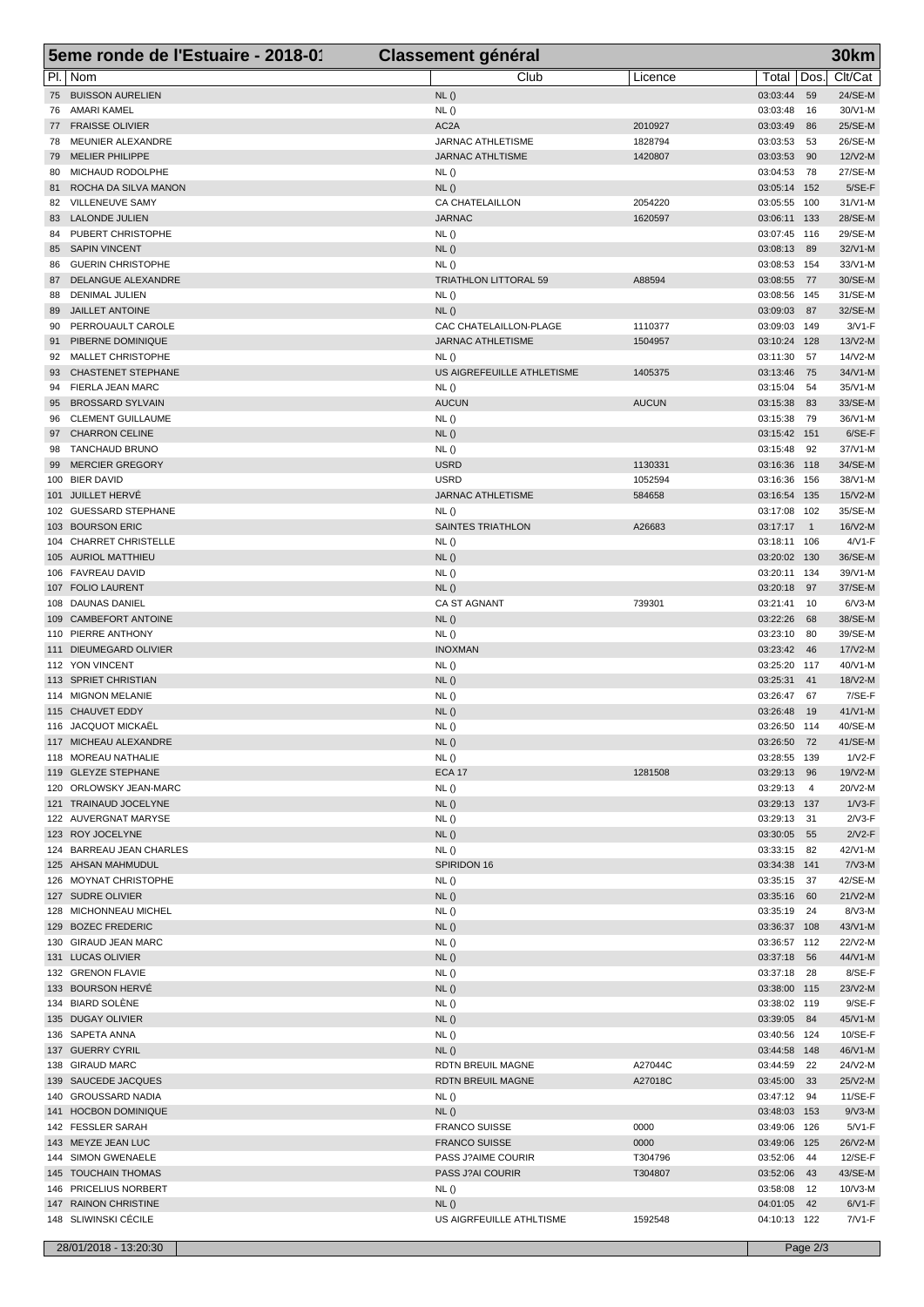| 5eme ronde de l'Estuaire - 2018-01                        | <b>Classement général</b>                    |                    | <b>30km</b>                                               |
|-----------------------------------------------------------|----------------------------------------------|--------------------|-----------------------------------------------------------|
| PI.<br>  Nom                                              | Club                                         | Licence            | Dos<br>Clt/Cat<br>Total                                   |
| <b>BUISSON AURELIEN</b><br>75                             | NL()                                         |                    | 03:03:44<br>24/SE-M<br>59                                 |
| AMARI KAMEL<br>76                                         | NL()                                         |                    | 30/V1-M<br>03:03:48<br>16                                 |
| <b>FRAISSE OLIVIER</b><br>77                              | AC <sub>2</sub> A                            | 2010927            | 25/SE-M<br>03:03:49<br>86                                 |
| MEUNIER ALEXANDRE<br>78<br><b>MELIER PHILIPPE</b><br>79   | JARNAC ATHLETISME<br><b>JARNAC ATHLTISME</b> | 1828794<br>1420807 | 03:03:53<br>26/SE-M<br>53<br>12/V2-M<br>03:03:53<br>90    |
| MICHAUD RODOLPHE<br>80                                    | NL()                                         |                    | 27/SE-M<br>03:04:53<br>78                                 |
| ROCHA DA SILVA MANON<br>81                                | NL()                                         |                    | $5/SE-F$<br>03:05:14 152                                  |
| VILLENEUVE SAMY<br>82                                     | CA CHATELAILLON                              | 2054220            | $31/N1-M$<br>03:05:55 100                                 |
| <b>LALONDE JULIEN</b><br>83                               | <b>JARNAC</b>                                | 1620597            | 03:06:11 133<br>28/SE-M                                   |
| PUBERT CHRISTOPHE<br>84                                   | NL()                                         |                    | 03:07:45 116<br>29/SE-M                                   |
| <b>SAPIN VINCENT</b><br>85<br><b>GUERIN CHRISTOPHE</b>    | NL()                                         |                    | 03:08:13<br>$32/N1-M$<br>89<br>33/V1-M<br>03:08:53<br>154 |
| 86<br>DELANGUE ALEXANDRE<br>87                            | NL()<br>TRIATHLON LITTORAL 59                | A88594             | 03:08:55<br>30/SE-M<br>-77                                |
| <b>DENIMAL JULIEN</b><br>88                               | NL()                                         |                    | 31/SE-M<br>03:08:56<br>145                                |
| JAILLET ANTOINE<br>89                                     | NL()                                         |                    | 03:09:03<br>32/SE-M<br>87                                 |
| PERROUAULT CAROLE<br>90                                   | CAC CHATELAILLON-PLAGE                       | 1110377            | $3/N1-F$<br>03:09:03 149                                  |
| PIBERNE DOMINIQUE<br>91                                   | JARNAC ATHLETISME                            | 1504957            | 03:10:24 128<br>13/V2-M                                   |
| <b>MALLET CHRISTOPHE</b><br>92                            | NL()                                         |                    | 14/V2-M<br>03:11:30<br>57                                 |
| <b>CHASTENET STEPHANE</b><br>93<br>FIERLA JEAN MARC<br>94 | US AIGREFEUILLE ATHLETISME<br>NL()           | 1405375            | 03:13:46<br>34/V1-M<br>75<br>03:15:04<br>35/V1-M<br>54    |
| <b>BROSSARD SYLVAIN</b><br>95                             | <b>AUCUN</b>                                 | <b>AUCUN</b>       | 33/SE-M<br>03:15:38<br>83                                 |
| <b>CLEMENT GUILLAUME</b><br>96                            | NL()                                         |                    | 36/V1-M<br>03:15:38<br>79                                 |
| <b>CHARRON CELINE</b><br>97                               | NL()                                         |                    | $6/SE-F$<br>03:15:42<br>151                               |
| <b>TANCHAUD BRUNO</b><br>98                               | NL()                                         |                    | 37/V1-M<br>03:15:48<br>92                                 |
| <b>MERCIER GREGORY</b><br>99                              | <b>USRD</b>                                  | 1130331            | 34/SE-M<br>03:16:36<br>118                                |
| 100 BIER DAVID                                            | <b>USRD</b>                                  | 1052594            | 38/V1-M<br>03:16:36<br>156                                |
| 101 JUILLET HERVÉ<br>102 GUESSARD STEPHANE                | JARNAC ATHLETISME<br>NL()                    | 584658             | 15/V2-M<br>03:16:54<br>135<br>03:17:08 102<br>35/SE-M     |
| <b>BOURSON ERIC</b><br>103                                | SAINTES TRIATHLON                            | A26683             | 03:17:17<br>16/V2-M<br>$\overline{1}$                     |
| <b>CHARRET CHRISTELLE</b><br>104                          | NL()                                         |                    | $4/VI$ -F<br>03:18:11 106                                 |
| 105 AURIOL MATTHIEU                                       | NL()                                         |                    | 36/SE-M<br>03:20:02 130                                   |
| 106 FAVREAU DAVID                                         | NL()                                         |                    | 39/V1-M<br>03:20:11 134                                   |
| 107 FOLIO LAURENT                                         | NL()                                         |                    | 03:20:18<br>37/SE-M<br>97                                 |
| 108 DAUNAS DANIEL                                         | <b>CA ST AGNANT</b>                          | 739301             | $6/N3-M$<br>03:21:41<br>10                                |
| CAMBEFORT ANTOINE<br>109                                  | NL()                                         |                    | 03:22:26<br>38/SE-M<br>68                                 |
| PIERRE ANTHONY<br>110<br>111 DIEUMEGARD OLIVIER           | NL()<br><b>INOXMAN</b>                       |                    | 03:23:10<br>39/SE-M<br>80<br>17/V2-M<br>03:23:42<br>46    |
| 112 YON VINCENT                                           | NL()                                         |                    | 03:25:20<br>40/V1-M<br>117                                |
| 113 SPRIET CHRISTIAN                                      | NL()                                         |                    | 03:25:31<br>41<br>18/V2-M                                 |
| 114 MIGNON MELANIE                                        | NL()                                         |                    | 7/SE-F<br>03:26:47<br>67                                  |
| 115 CHAUVET EDDY                                          | NL()                                         |                    | $41/N1-M$<br>03:26:48<br>19                               |
| 116 JACQUOT MICKAËL                                       | NL()                                         |                    | 40/SE-M<br>03:26:50 114                                   |
| 117 MICHEAU ALEXANDRE                                     | NL ()                                        |                    | 41/SE-M<br>03:26:50 72                                    |
| 118 MOREAU NATHALIE<br>119 GLEYZE STEPHANE                | NL()<br><b>ECA 17</b>                        | 1281508            | $1/V2-F$<br>03:28:55 139<br>03:29:13<br>96<br>19/V2-M     |
| 120 ORLOWSKY JEAN-MARC                                    | NL()                                         |                    | 03:29:13<br>20/V2-M<br>$\overline{4}$                     |
| 121 TRAINAUD JOCELYNE                                     | NL()                                         |                    | $1/\sqrt{3}$ -F<br>03:29:13 137                           |
| 122 AUVERGNAT MARYSE                                      | NL()                                         |                    | 03:29:13 31<br>$2/N3-F$                                   |
| 123 ROY JOCELYNE                                          | NL()                                         |                    | 03:30:05 55<br>$2N2-F$                                    |
| 124 BARREAU JEAN CHARLES                                  | NL()                                         |                    | 03:33:15<br>42/V1-M<br>82                                 |
| 125 AHSAN MAHMUDUL                                        | SPIRIDON 16                                  |                    | $7/N3-M$<br>03:34:38 141                                  |
| 126 MOYNAT CHRISTOPHE                                     | NL()                                         |                    | 42/SE-M<br>03:35:15 37                                    |
| 127 SUDRE OLIVIER<br>128 MICHONNEAU MICHEL                | NL()<br>NL()                                 |                    | 03:35:16<br>$21/N2-M$<br>60<br>03:35:19<br>$8/N3-M$<br>24 |
| 129 BOZEC FREDERIC                                        | NL()                                         |                    | 43/V1-M<br>03:36:37 108                                   |
| 130 GIRAUD JEAN MARC                                      | NL()                                         |                    | 03:36:57 112<br>22/V2-M                                   |
| 131 LUCAS OLIVIER                                         | NL()                                         |                    | 44/V1-M<br>03:37:18<br>56                                 |
| 132 GRENON FLAVIE                                         | NL()                                         |                    | $8/SE-F$<br>03:37:18<br>28                                |
| 133 BOURSON HERVÉ                                         | NL()                                         |                    | 03:38:00 115<br>23/V2-M                                   |
| 134 BIARD SOLENE                                          | NL()                                         |                    | $9/SE-F$<br>03:38:02 119                                  |
| 135 DUGAY OLIVIER<br>136 SAPETA ANNA                      | NL()                                         |                    | 03:39:05<br>45/V1-M<br>- 84<br>10/SE-F                    |
| 137 GUERRY CYRIL                                          | NL()<br>NL()                                 |                    | 03:40:56 124<br>46/V1-M<br>03:44:58 148                   |
| 138 GIRAUD MARC                                           | RDTN BREUIL MAGNE                            | A27044C            | 03:44:59<br>22<br>24/V2-M                                 |
| 139 SAUCEDE JACQUES                                       | RDTN BREUIL MAGNE                            | A27018C            | 03:45:00<br>- 33<br>25/V2-M                               |
| 140 GROUSSARD NADIA                                       | NL()                                         |                    | 03:47:12 94<br>11/SE-F                                    |
| 141 HOCBON DOMINIQUE                                      | NL()                                         |                    | 03:48:03 153<br>$9/N3-M$                                  |
| 142 FESSLER SARAH                                         | <b>FRANCO SUISSE</b>                         | 0000               | $5/N1-F$<br>03:49:06 126                                  |
| 143 MEYZE JEAN LUC                                        | <b>FRANCO SUISSE</b>                         | 0000               | 03:49:06 125<br>26/V2-M                                   |
| 144 SIMON GWENAELE<br>145 TOUCHAIN THOMAS                 | PASS J?AIME COURIR<br>PASS J?AI COURIR       | T304796<br>T304807 | 03:52:06<br>12/SE-F<br>44<br>43/SE-M                      |
| 146 PRICELIUS NORBERT                                     | NL()                                         |                    | 03:52:06<br>-43<br>03:58:08<br>10/V3-M<br>12              |
| 147 RAINON CHRISTINE                                      | NL()                                         |                    | $6/V1-F$<br>04:01:05 42                                   |
| 148 SLIWINSKI CÉCILE                                      | US AIGRFEUILLE ATHLTISME                     | 1592548            | 7/V1-F<br>04:10:13 122                                    |
|                                                           |                                              |                    |                                                           |
| 28/01/2018 - 13:20:30                                     |                                              |                    | Page 2/3                                                  |